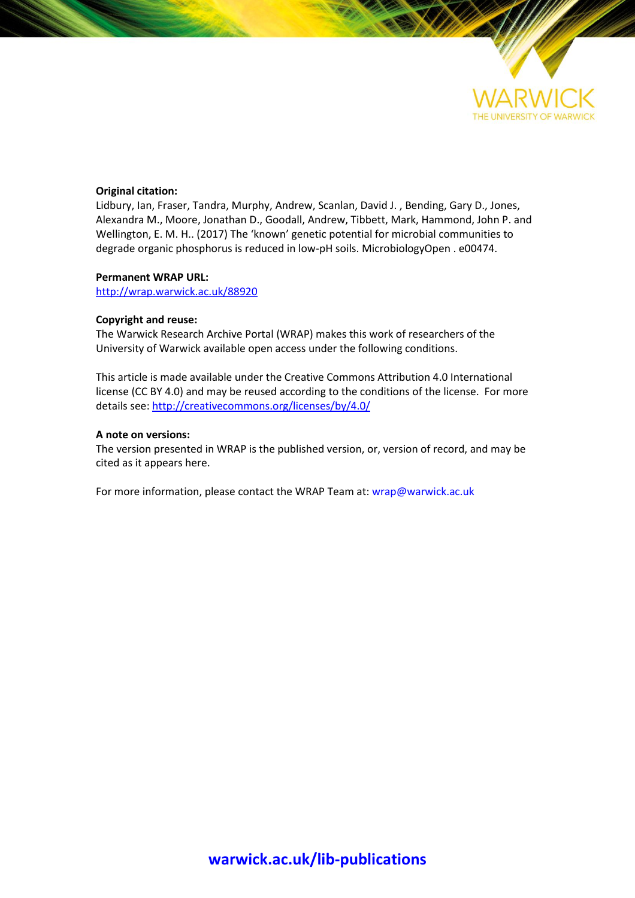

## **Original citation:**

Lidbury, Ian, Fraser, Tandra, Murphy, Andrew, Scanlan, David J. , Bending, Gary D., Jones, Alexandra M., Moore, Jonathan D., Goodall, Andrew, Tibbett, Mark, Hammond, John P. and Wellington, E. M. H.. (2017) The 'known' genetic potential for microbial communities to degrade organic phosphorus is reduced in low-pH soils. MicrobiologyOpen . e00474.

## **Permanent WRAP URL:**

<http://wrap.warwick.ac.uk/88920>

# **Copyright and reuse:**

The Warwick Research Archive Portal (WRAP) makes this work of researchers of the University of Warwick available open access under the following conditions.

This article is made available under the Creative Commons Attribution 4.0 International license (CC BY 4.0) and may be reused according to the conditions of the license. For more details see[: http://creativecommons.org/licenses/by/4.0/](http://creativecommons.org/licenses/by/4.0/) 

## **A note on versions:**

The version presented in WRAP is the published version, or, version of record, and may be cited as it appears here.

For more information, please contact the WRAP Team at[: wrap@warwick.ac.uk](mailto:wrap@warwick.ac.uk)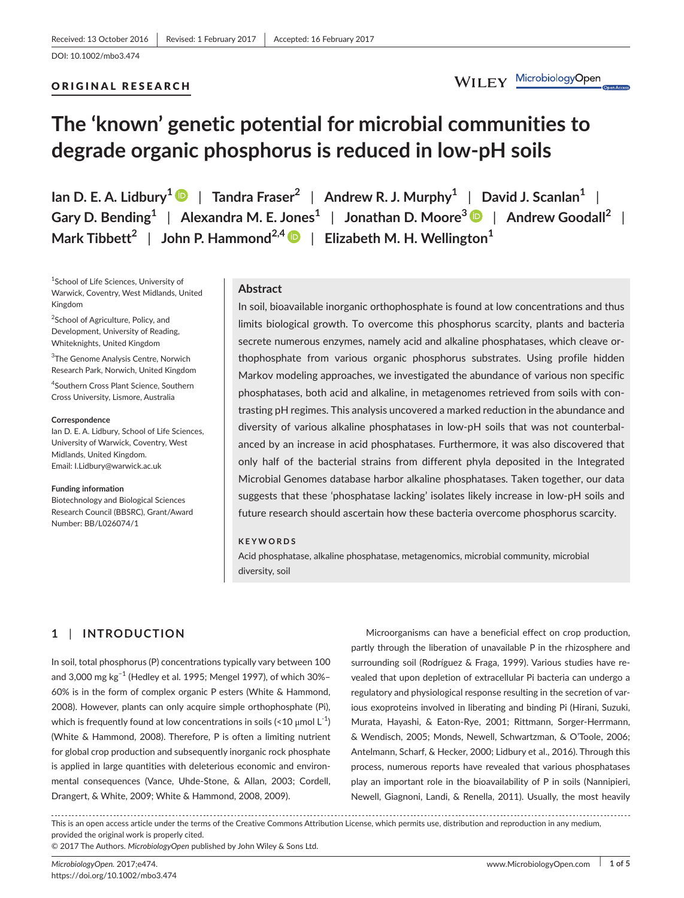## ORIGINAL RESEARCH

WILEY MicrobiologyOpen

# **The 'known' genetic potential for microbial communities to degrade organic phosphorus is reduced in low-pH soils**

**Ian D. E. A. Lidbury[1](http://orcid.org/0000-0001-7190-315X)** | **Tandra Fraser<sup>2</sup>** | **Andrew R. J. Murphy<sup>1</sup>** | **David J. Scanlan<sup>1</sup>** | **Gary D. Bending<sup>1</sup>** | **Alexandra M. E. Jones<sup>1</sup>** | **Jonathan D. Moore<sup>3</sup>** | **Andrew Goodall<sup>2</sup>** | **Mark Tibbett<sup>2</sup>** | **John P. Hammond2,[4](http://orcid.org/0000-0002-6241-3551)** | **Elizabeth M. H. Wellington<sup>1</sup>**

1 School of Life Sciences, University of Warwick, Coventry, West Midlands, United Kingdom

<sup>2</sup>School of Agriculture, Policy, and Development, University of Reading, Whiteknights, United Kingdom

3 The Genome Analysis Centre, Norwich Research Park, Norwich, United Kingdom

4 Southern Cross Plant Science, Southern Cross University, Lismore, Australia

#### **Correspondence**

Ian D. E. A. Lidbury, School of Life Sciences, University of Warwick, Coventry, West Midlands, United Kingdom. Email: [I.Lidbury@warwick.ac.uk](mailto:I.Lidbury@warwick.ac.uk)

#### **Funding information**

Biotechnology and Biological Sciences Research Council (BBSRC), Grant/Award Number: BB/L026074/1

#### **Abstract**

In soil, bioavailable inorganic orthophosphate is found at low concentrations and thus limits biological growth. To overcome this phosphorus scarcity, plants and bacteria secrete numerous enzymes, namely acid and alkaline phosphatases, which cleave orthophosphate from various organic phosphorus substrates. Using profile hidden Markov modeling approaches, we investigated the abundance of various non specific phosphatases, both acid and alkaline, in metagenomes retrieved from soils with contrasting pH regimes. This analysis uncovered a marked reduction in the abundance and diversity of various alkaline phosphatases in low-pH soils that was not counterbalanced by an increase in acid phosphatases. Furthermore, it was also discovered that only half of the bacterial strains from different phyla deposited in the Integrated Microbial Genomes database harbor alkaline phosphatases. Taken together, our data suggests that these 'phosphatase lacking' isolates likely increase in low-pH soils and future research should ascertain how these bacteria overcome phosphorus scarcity.

#### **KEYWORDS**

Acid phosphatase, alkaline phosphatase, metagenomics, microbial community, microbial diversity, soil

## **1** | **INTRODUCTION**

In soil, total phosphorus (P) concentrations typically vary between 100 and 3,000 mg kg−1 (Hedley et al. 1995; Mengel 1997), of which 30%– 60% is in the form of complex organic P esters (White & Hammond, 2008). However, plants can only acquire simple orthophosphate (Pi), which is frequently found at low concentrations in soils  $\langle 10 \text{ }\mu\text{mol } L^{-1} \rangle$ (White & Hammond, 2008). Therefore, P is often a limiting nutrient for global crop production and subsequently inorganic rock phosphate is applied in large quantities with deleterious economic and environmental consequences (Vance, Uhde-Stone, & Allan, 2003; Cordell, Drangert, & White, 2009; White & Hammond, 2008, 2009).

Microorganisms can have a beneficial effect on crop production, partly through the liberation of unavailable P in the rhizosphere and surrounding soil (Rodríguez & Fraga, 1999). Various studies have revealed that upon depletion of extracellular Pi bacteria can undergo a regulatory and physiological response resulting in the secretion of various exoproteins involved in liberating and binding Pi (Hirani, Suzuki, Murata, Hayashi, & Eaton-Rye, 2001; Rittmann, Sorger-Herrmann, & Wendisch, 2005; Monds, Newell, Schwartzman, & O'Toole, 2006; Antelmann, Scharf, & Hecker, 2000; Lidbury et al., 2016). Through this process, numerous reports have revealed that various phosphatases play an important role in the bioavailability of P in soils (Nannipieri, Newell, Giagnoni, Landi, & Renella, 2011). Usually, the most heavily

This is an open access article under the terms of the Creative Commons [Attribution](http://creativecommons.org/licenses/by/4.0/) License, which permits use, distribution and reproduction in any medium, provided the original work is properly cited.

© 2017 The Authors. *MicrobiologyOpen* published by John Wiley & Sons Ltd.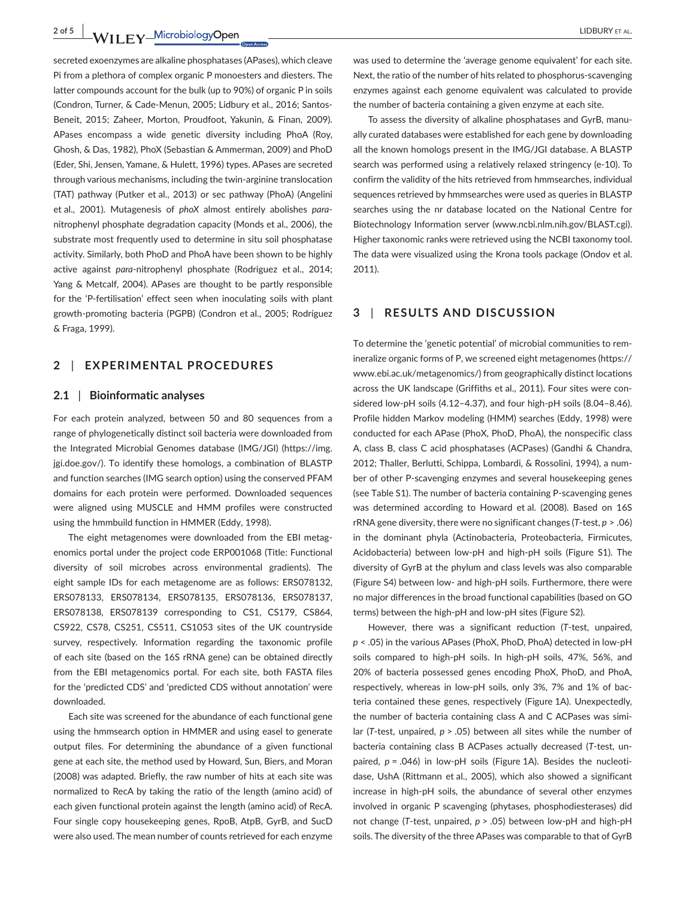**2 of 5 |**  LIDBURY et al.

secreted exoenzymes are alkaline phosphatases (APases), which cleave Pi from a plethora of complex organic P monoesters and diesters. The latter compounds account for the bulk (up to 90%) of organic P in soils (Condron, Turner, & Cade-Menun, 2005; Lidbury et al., 2016; Santos-Beneit, 2015; Zaheer, Morton, Proudfoot, Yakunin, & Finan, 2009). APases encompass a wide genetic diversity including PhoA (Roy, Ghosh, & Das, 1982), PhoX (Sebastian & Ammerman, 2009) and PhoD (Eder, Shi, Jensen, Yamane, & Hulett, 1996) types. APases are secreted through various mechanisms, including the twin-arginine translocation (TAT) pathway (Putker et al., 2013) or sec pathway (PhoA) (Angelini et al., 2001). Mutagenesis of *phoX* almost entirely abolishes *para*nitrophenyl phosphate degradation capacity (Monds et al., 2006), the substrate most frequently used to determine in situ soil phosphatase activity. Similarly, both PhoD and PhoA have been shown to be highly active against *para*-nitrophenyl phosphate (Rodriguez et al., 2014; Yang & Metcalf, 2004). APases are thought to be partly responsible for the 'P-fertilisation' effect seen when inoculating soils with plant growth-promoting bacteria (PGPB) (Condron et al., 2005; Rodríguez & Fraga, 1999).

## **2** | **EXPERIMENTAL PROCEDURES**

#### **2.1** | **Bioinformatic analyses**

For each protein analyzed, between 50 and 80 sequences from a range of phylogenetically distinct soil bacteria were downloaded from the Integrated Microbial Genomes database (IMG/JGI) ([https://img.](https://img.jgi.doe.gov/) [jgi.doe.gov/\)](https://img.jgi.doe.gov/). To identify these homologs, a combination of BLASTP and function searches (IMG search option) using the conserved PFAM domains for each protein were performed. Downloaded sequences were aligned using MUSCLE and HMM profiles were constructed using the hmmbuild function in HMMER (Eddy, 1998).

The eight metagenomes were downloaded from the EBI metagenomics portal under the project code ERP001068 (Title: Functional diversity of soil microbes across environmental gradients). The eight sample IDs for each metagenome are as follows: ERS078132, ERS078133, ERS078134, ERS078135, ERS078136, ERS078137, ERS078138, ERS078139 corresponding to CS1, CS179, CS864, CS922, CS78, CS251, CS511, CS1053 sites of the UK countryside survey, respectively. Information regarding the taxonomic profile of each site (based on the 16S rRNA gene) can be obtained directly from the EBI metagenomics portal. For each site, both FASTA files for the 'predicted CDS' and 'predicted CDS without annotation' were downloaded.

Each site was screened for the abundance of each functional gene using the hmmsearch option in HMMER and using easel to generate output files. For determining the abundance of a given functional gene at each site, the method used by Howard, Sun, Biers, and Moran (2008) was adapted. Briefly, the raw number of hits at each site was normalized to RecA by taking the ratio of the length (amino acid) of each given functional protein against the length (amino acid) of RecA. Four single copy housekeeping genes, RpoB, AtpB, GyrB, and SucD were also used. The mean number of counts retrieved for each enzyme

was used to determine the 'average genome equivalent' for each site. Next, the ratio of the number of hits related to phosphorus-scavenging enzymes against each genome equivalent was calculated to provide the number of bacteria containing a given enzyme at each site.

To assess the diversity of alkaline phosphatases and GyrB, manually curated databases were established for each gene by downloading all the known homologs present in the IMG/JGI database. A BLASTP search was performed using a relatively relaxed stringency (e-10). To confirm the validity of the hits retrieved from hmmsearches, individual sequences retrieved by hmmsearches were used as queries in BLASTP searches using the nr database located on the National Centre for Biotechnology Information server [\(www.ncbi.nlm.nih.gov/BLAST.cgi](http://www.ncbi.nlm.nih.gov/BLAST.cgi)). Higher taxonomic ranks were retrieved using the NCBI taxonomy tool. The data were visualized using the Krona tools package (Ondov et al. 2011).

## **3** | **RESULTS AND DISCUSSION**

To determine the 'genetic potential' of microbial communities to remineralize organic forms of P, we screened eight metagenomes [\(https://](https://www.ebi.ac.uk/metagenomics/) [www.ebi.ac.uk/metagenomics/\)](https://www.ebi.ac.uk/metagenomics/) from geographically distinct locations across the UK landscape (Griffiths et al., 2011). Four sites were considered low-pH soils (4.12–4.37), and four high-pH soils (8.04–8.46). Profile hidden Markov modeling (HMM) searches (Eddy, 1998) were conducted for each APase (PhoX, PhoD, PhoA), the nonspecific class A, class B, class C acid phosphatases (ACPases) (Gandhi & Chandra, 2012; Thaller, Berlutti, Schippa, Lombardi, & Rossolini, 1994), a number of other P-scavenging enzymes and several housekeeping genes (see Table S1). The number of bacteria containing P-scavenging genes was determined according to Howard et al. (2008). Based on 16S rRNA gene diversity, there were no significant changes (*T*-test, *p* > .06) in the dominant phyla (Actinobacteria, Proteobacteria, Firmicutes, Acidobacteria) between low-pH and high-pH soils (Figure S1). The diversity of GyrB at the phylum and class levels was also comparable (Figure S4) between low- and high-pH soils. Furthermore, there were no major differences in the broad functional capabilities (based on GO terms) between the high-pH and low-pH sites (Figure S2).

However, there was a significant reduction (*T*-test, unpaired, *p* < .05) in the various APases (PhoX, PhoD, PhoA) detected in low-pH soils compared to high-pH soils. In high-pH soils, 47%, 56%, and 20% of bacteria possessed genes encoding PhoX, PhoD, and PhoA, respectively, whereas in low-pH soils, only 3%, 7% and 1% of bacteria contained these genes, respectively (Figure 1A). Unexpectedly, the number of bacteria containing class A and C ACPases was similar (*T*-test, unpaired, *p* > .05) between all sites while the number of bacteria containing class B ACPases actually decreased (*T*-test, unpaired,  $p = .046$ ) in low-pH soils (Figure 1A). Besides the nucleotidase, UshA (Rittmann et al., 2005), which also showed a significant increase in high-pH soils, the abundance of several other enzymes involved in organic P scavenging (phytases, phosphodiesterases) did not change (*T*-test, unpaired, *p* > .05) between low-pH and high-pH soils. The diversity of the three APases was comparable to that of GyrB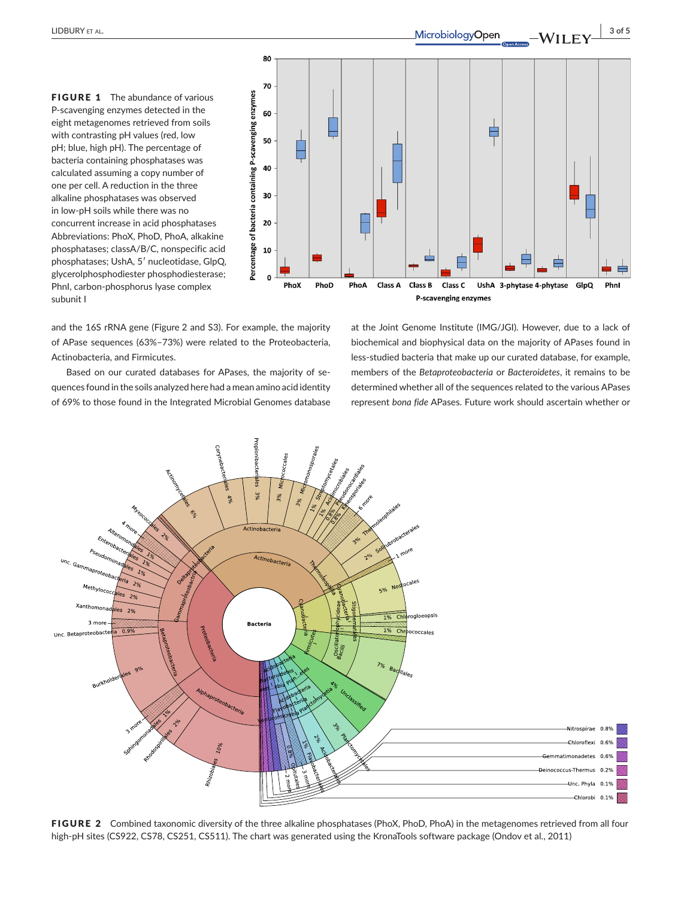FIGURE 1 The abundance of various P-scavenging enzymes detected in the eight metagenomes retrieved from soils with contrasting pH values (red, low pH; blue, high pH). The percentage of bacteria containing phosphatases was calculated assuming a copy number of one per cell. A reduction in the three alkaline phosphatases was observed in low-pH soils while there was no concurrent increase in acid phosphatases Abbreviations: PhoX, PhoD, PhoA, alkakine phosphatases; classA/B/C, nonspecific acid phosphatases; UshA, 5′ nucleotidase, GlpQ, glycerolphosphodiester phosphodiesterase; PhnI, carbon-phosphorus lyase complex subunit I



and the 16S rRNA gene (Figure 2 and S3). For example, the majority of APase sequences (63%–73%) were related to the Proteobacteria, Actinobacteria, and Firmicutes.

Based on our curated databases for APases, the majority of sequences found in the soils analyzed here had a mean amino acid identity of 69% to those found in the Integrated Microbial Genomes database

at the Joint Genome Institute (IMG/JGI). However, due to a lack of biochemical and biophysical data on the majority of APases found in less-studied bacteria that make up our curated database, for example, members of the *Betaproteobacteria* or *Bacteroidetes*, it remains to be determined whether all of the sequences related to the various APases represent *bona fide* APases. Future work should ascertain whether or



FIGURE 2 Combined taxonomic diversity of the three alkaline phosphatases (PhoX, PhoD, PhoA) in the metagenomes retrieved from all four high-pH sites (CS922, CS78, CS251, CS511). The chart was generated using the KronaTools software package (Ondov et al., 2011)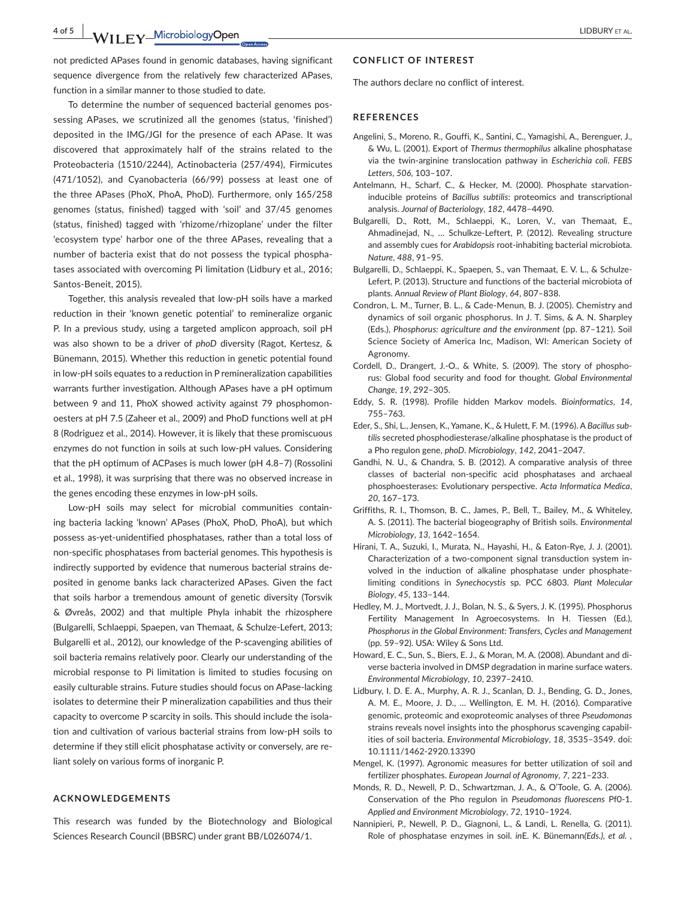To determine the number of sequenced bacterial genomes possessing APases, we scrutinized all the genomes (status, 'finished') deposited in the IMG/JGI for the presence of each APase. It was discovered that approximately half of the strains related to the Proteobacteria (1510/2244), Actinobacteria (257/494), Firmicutes (471/1052), and Cyanobacteria (66/99) possess at least one of the three APases (PhoX, PhoA, PhoD). Furthermore, only 165/258 genomes (status, finished) tagged with 'soil' and 37/45 genomes (status, finished) tagged with 'rhizome/rhizoplane' under the filter 'ecosystem type' harbor one of the three APases, revealing that a number of bacteria exist that do not possess the typical phosphatases associated with overcoming Pi limitation (Lidbury et al., 2016; Santos-Beneit, 2015).

Together, this analysis revealed that low-pH soils have a marked reduction in their 'known genetic potential' to remineralize organic P. In a previous study, using a targeted amplicon approach, soil pH was also shown to be a driver of *phoD* diversity (Ragot, Kertesz, & Bünemann, 2015). Whether this reduction in genetic potential found in low-pH soils equates to a reduction in P remineralization capabilities warrants further investigation. Although APases have a pH optimum between 9 and 11, PhoX showed activity against 79 phosphomonoesters at pH 7.5 (Zaheer et al., 2009) and PhoD functions well at pH 8 (Rodriguez et al., 2014). However, it is likely that these promiscuous enzymes do not function in soils at such low-pH values. Considering that the pH optimum of ACPases is much lower (pH 4.8–7) (Rossolini et al., 1998), it was surprising that there was no observed increase in the genes encoding these enzymes in low-pH soils.

Low-pH soils may select for microbial communities containing bacteria lacking 'known' APases (PhoX, PhoD, PhoA), but which possess as-yet-unidentified phosphatases, rather than a total loss of non-specific phosphatases from bacterial genomes. This hypothesis is indirectly supported by evidence that numerous bacterial strains deposited in genome banks lack characterized APases. Given the fact that soils harbor a tremendous amount of genetic diversity (Torsvik & Øvreås, 2002) and that multiple Phyla inhabit the rhizosphere (Bulgarelli, Schlaeppi, Spaepen, van Themaat, & Schulze-Lefert, 2013; Bulgarelli et al., 2012), our knowledge of the P-scavenging abilities of soil bacteria remains relatively poor. Clearly our understanding of the microbial response to Pi limitation is limited to studies focusing on easily culturable strains. Future studies should focus on APase-lacking isolates to determine their P mineralization capabilities and thus their capacity to overcome P scarcity in soils. This should include the isolation and cultivation of various bacterial strains from low-pH soils to determine if they still elicit phosphatase activity or conversely, are reliant solely on various forms of inorganic P.

#### **ACKNOWLEDGEMENTS**

This research was funded by the Biotechnology and Biological Sciences Research Council (BBSRC) under grant BB/L026074/1.

#### **CONFLICT OF INTEREST**

The authors declare no conflict of interest.

#### **REFERENCES**

- Angelini, S., Moreno, R., Gouffi, K., Santini, C., Yamagishi, A., Berenguer, J., & Wu, L. (2001). Export of *Thermus thermophilus* alkaline phosphatase via the twin-arginine translocation pathway in *Escherichia coli*. *FEBS Letters*, *506*, 103–107.
- Antelmann, H., Scharf, C., & Hecker, M. (2000). Phosphate starvationinducible proteins of *Bacillus subtilis*: proteomics and transcriptional analysis. *Journal of Bacteriology*, *182*, 4478–4490.
- Bulgarelli, D., Rott, M., Schlaeppi, K., Loren, V., van Themaat, E., Ahmadinejad, N., … Schulkze-Leftert, P. (2012). Revealing structure and assembly cues for *Arabidopsis* root-inhabiting bacterial microbiota. *Nature*, *488*, 91–95.
- Bulgarelli, D., Schlaeppi, K., Spaepen, S., van Themaat, E. V. L., & Schulze-Lefert, P. (2013). Structure and functions of the bacterial microbiota of plants. *Annual Review of Plant Biology*, *64*, 807–838.
- Condron, L. M., Turner, B. L., & Cade-Menun, B. J. (2005). Chemistry and dynamics of soil organic phosphorus. In J. T. Sims, & A. N. Sharpley (Eds.), *Phosphorus: agriculture and the environment* (pp. 87–121). Soil Science Society of America Inc, Madison, WI: American Society of Agronomy.
- Cordell, D., Drangert, J.-O., & White, S. (2009). The story of phosphorus: Global food security and food for thought. *Global Environmental Change*, *19*, 292–305.
- Eddy, S. R. (1998). Profile hidden Markov models. *Bioinformatics*, *14*, 755–763.
- Eder, S., Shi, L., Jensen, K., Yamane, K., & Hulett, F. M. (1996). A *Bacillus subtilis* secreted phosphodiesterase/alkaline phosphatase is the product of a Pho regulon gene, *phoD*. *Microbiology*, *142*, 2041–2047.
- Gandhi, N. U., & Chandra, S. B. (2012). A comparative analysis of three classes of bacterial non-specific acid phosphatases and archaeal phosphoesterases: Evolutionary perspective. *Acta Informatica Medica*, *20*, 167–173.
- Griffiths, R. I., Thomson, B. C., James, P., Bell, T., Bailey, M., & Whiteley, A. S. (2011). The bacterial biogeography of British soils. *Environmental Microbiology*, *13*, 1642–1654.
- Hirani, T. A., Suzuki, I., Murata, N., Hayashi, H., & Eaton-Rye, J. J. (2001). Characterization of a two-component signal transduction system involved in the induction of alkaline phosphatase under phosphatelimiting conditions in *Synechocystis* sp. PCC 6803. *Plant Molecular Biology*, *45*, 133–144.
- Hedley, M. J., Mortvedt, J. J., Bolan, N. S., & Syers, J. K. (1995). Phosphorus Fertility Management In Agroecosystems. In H. Tiessen (Ed.), *Phosphorus in the Global Environment: Transfers, Cycles and Management* (pp. 59–92). USA: Wiley & Sons Ltd.
- Howard, E. C., Sun, S., Biers, E. J., & Moran, M. A. (2008). Abundant and diverse bacteria involved in DMSP degradation in marine surface waters. *Environmental Microbiology*, *10*, 2397–2410.
- Lidbury, I. D. E. A., Murphy, A. R. J., Scanlan, D. J., Bending, G. D., Jones, A. M. E., Moore, J. D., … Wellington, E. M. H. (2016). Comparative genomic, proteomic and exoproteomic analyses of three *Pseudomonas* strains reveals novel insights into the phosphorus scavenging capabilities of soil bacteria. *Environmental Microbiology*, *18*, 3535–3549. doi: [10.1111/1462-2920.13390](https://doi.org/10.1111/1462-2920.13390)
- Mengel, K. (1997). Agronomic measures for better utilization of soil and fertilizer phosphates. *European Journal of Agronomy*, *7*, 221–233.
- Monds, R. D., Newell, P. D., Schwartzman, J. A., & O'Toole, G. A. (2006). Conservation of the Pho regulon in *Pseudomonas fluorescens* Pf0-1. *Applied and Environment Microbiology*, *72*, 1910–1924.
- Nannipieri, P., Newell, P. D., Giagnoni, L., & Landi, L. Renella, G. (2011). Role of phosphatase enzymes in soil. *in*E. K. Bünemann*(Eds.), et al. ,*